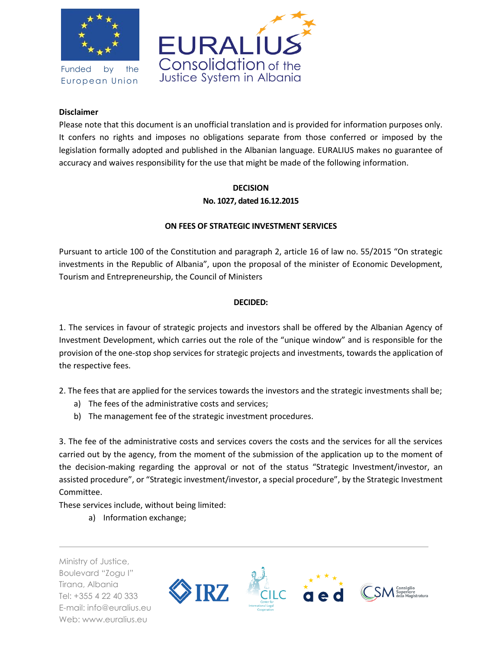

Funded by the European Union



## **Disclaimer**

Please note that this document is an unofficial translation and is provided for information purposes only. It confers no rights and imposes no obligations separate from those conferred or imposed by the legislation formally adopted and published in the Albanian language. EURALIUS makes no guarantee of accuracy and waives responsibility for the use that might be made of the following information.

## **DECISION No. 1027, dated 16.12.2015**

## **ON FEES OF STRATEGIC INVESTMENT SERVICES**

Pursuant to article 100 of the Constitution and paragraph 2, article 16 of law no. 55/2015 "On strategic investments in the Republic of Albania", upon the proposal of the minister of Economic Development, Tourism and Entrepreneurship, the Council of Ministers

## **DECIDED:**

1. The services in favour of strategic projects and investors shall be offered by the Albanian Agency of Investment Development, which carries out the role of the "unique window" and is responsible for the provision of the one-stop shop services for strategic projects and investments, towards the application of the respective fees.

2. The fees that are applied for the services towards the investors and the strategic investments shall be;

- a) The fees of the administrative costs and services;
- b) The management fee of the strategic investment procedures.

3. The fee of the administrative costs and services covers the costs and the services for all the services carried out by the agency, from the moment of the submission of the application up to the moment of the decision-making regarding the approval or not of the status "Strategic Investment/investor, an assisted procedure", or "Strategic investment/investor, a special procedure", by the Strategic Investment Committee.

These services include, without being limited:

a) Information exchange;

Ministry of Justice, Boulevard "Zogu I" Tirana, Albania Tel: +355 4 22 40 333 E-mail: info@euralius.eu Web: www.euralius.eu

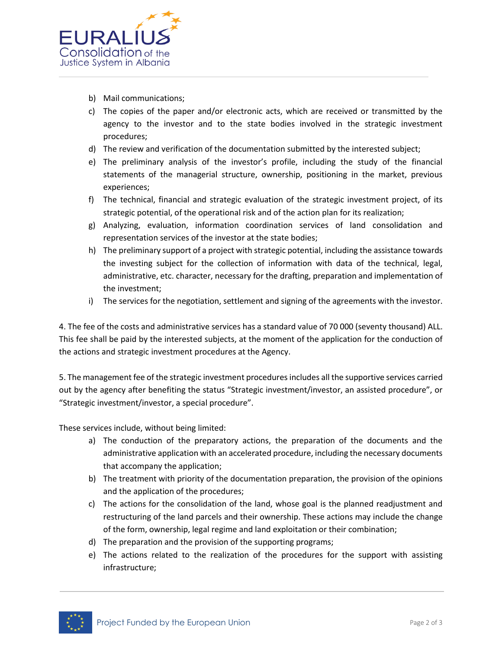

- b) Mail communications;
- c) The copies of the paper and/or electronic acts, which are received or transmitted by the agency to the investor and to the state bodies involved in the strategic investment procedures;
- d) The review and verification of the documentation submitted by the interested subject;
- e) The preliminary analysis of the investor's profile, including the study of the financial statements of the managerial structure, ownership, positioning in the market, previous experiences;
- f) The technical, financial and strategic evaluation of the strategic investment project, of its strategic potential, of the operational risk and of the action plan for its realization;
- g) Analyzing, evaluation, information coordination services of land consolidation and representation services of the investor at the state bodies;
- h) The preliminary support of a project with strategic potential, including the assistance towards the investing subject for the collection of information with data of the technical, legal, administrative, etc. character, necessary for the drafting, preparation and implementation of the investment;
- i) The services for the negotiation, settlement and signing of the agreements with the investor.

4. The fee of the costs and administrative services has a standard value of 70 000 (seventy thousand) ALL. This fee shall be paid by the interested subjects, at the moment of the application for the conduction of the actions and strategic investment procedures at the Agency.

5. The management fee of the strategic investment procedures includes all the supportive services carried out by the agency after benefiting the status "Strategic investment/investor, an assisted procedure", or "Strategic investment/investor, a special procedure".

These services include, without being limited:

- a) The conduction of the preparatory actions, the preparation of the documents and the administrative application with an accelerated procedure, including the necessary documents that accompany the application;
- b) The treatment with priority of the documentation preparation, the provision of the opinions and the application of the procedures;
- c) The actions for the consolidation of the land, whose goal is the planned readjustment and restructuring of the land parcels and their ownership. These actions may include the change of the form, ownership, legal regime and land exploitation or their combination;
- d) The preparation and the provision of the supporting programs;
- e) The actions related to the realization of the procedures for the support with assisting infrastructure;